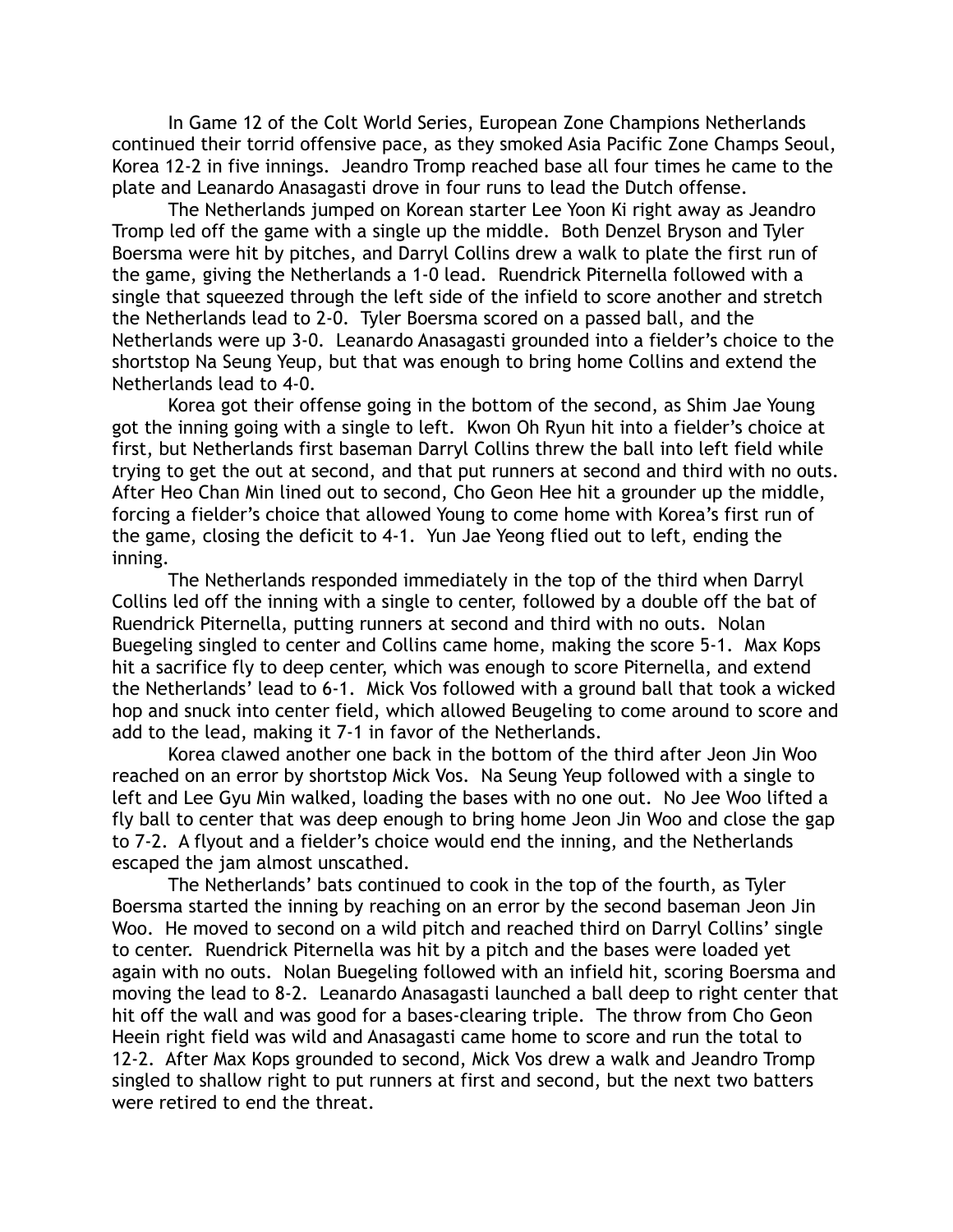In Game 12 of the Colt World Series, European Zone Champions Netherlands continued their torrid offensive pace, as they smoked Asia Pacific Zone Champs Seoul, Korea 12-2 in five innings. Jeandro Tromp reached base all four times he came to the plate and Leanardo Anasagasti drove in four runs to lead the Dutch offense.

 The Netherlands jumped on Korean starter Lee Yoon Ki right away as Jeandro Tromp led off the game with a single up the middle. Both Denzel Bryson and Tyler Boersma were hit by pitches, and Darryl Collins drew a walk to plate the first run of the game, giving the Netherlands a 1-0 lead. Ruendrick Piternella followed with a single that squeezed through the left side of the infield to score another and stretch the Netherlands lead to 2-0. Tyler Boersma scored on a passed ball, and the Netherlands were up 3-0. Leanardo Anasagasti grounded into a fielder's choice to the shortstop Na Seung Yeup, but that was enough to bring home Collins and extend the Netherlands lead to 4-0.

 Korea got their offense going in the bottom of the second, as Shim Jae Young got the inning going with a single to left. Kwon Oh Ryun hit into a fielder's choice at first, but Netherlands first baseman Darryl Collins threw the ball into left field while trying to get the out at second, and that put runners at second and third with no outs. After Heo Chan Min lined out to second, Cho Geon Hee hit a grounder up the middle, forcing a fielder's choice that allowed Young to come home with Korea's first run of the game, closing the deficit to 4-1. Yun Jae Yeong flied out to left, ending the inning.

 The Netherlands responded immediately in the top of the third when Darryl Collins led off the inning with a single to center, followed by a double off the bat of Ruendrick Piternella, putting runners at second and third with no outs. Nolan Buegeling singled to center and Collins came home, making the score 5-1. Max Kops hit a sacrifice fly to deep center, which was enough to score Piternella, and extend the Netherlands' lead to 6-1. Mick Vos followed with a ground ball that took a wicked hop and snuck into center field, which allowed Beugeling to come around to score and add to the lead, making it 7-1 in favor of the Netherlands.

 Korea clawed another one back in the bottom of the third after Jeon Jin Woo reached on an error by shortstop Mick Vos. Na Seung Yeup followed with a single to left and Lee Gyu Min walked, loading the bases with no one out. No Jee Woo lifted a fly ball to center that was deep enough to bring home Jeon Jin Woo and close the gap to 7-2. A flyout and a fielder's choice would end the inning, and the Netherlands escaped the jam almost unscathed.

 The Netherlands' bats continued to cook in the top of the fourth, as Tyler Boersma started the inning by reaching on an error by the second baseman Jeon Jin Woo. He moved to second on a wild pitch and reached third on Darryl Collins' single to center. Ruendrick Piternella was hit by a pitch and the bases were loaded yet again with no outs. Nolan Buegeling followed with an infield hit, scoring Boersma and moving the lead to 8-2. Leanardo Anasagasti launched a ball deep to right center that hit off the wall and was good for a bases-clearing triple. The throw from Cho Geon Heein right field was wild and Anasagasti came home to score and run the total to 12-2. After Max Kops grounded to second, Mick Vos drew a walk and Jeandro Tromp singled to shallow right to put runners at first and second, but the next two batters were retired to end the threat.